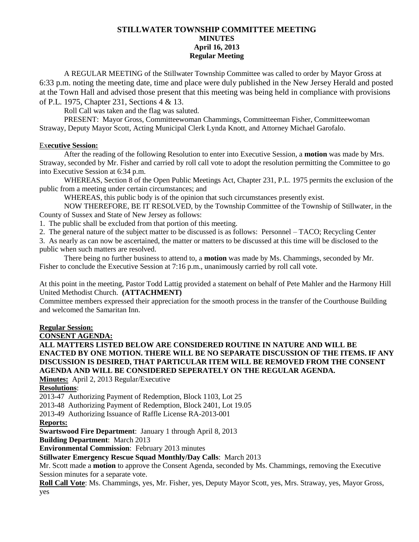## **STILLWATER TOWNSHIP COMMITTEE MEETING MINUTES April 16, 2013 Regular Meeting**

A REGULAR MEETING of the Stillwater Township Committee was called to order by Mayor Gross at 6:33 p.m. noting the meeting date, time and place were duly published in the New Jersey Herald and posted at the Town Hall and advised those present that this meeting was being held in compliance with provisions of P.L. 1975, Chapter 231, Sections 4 & 13.

Roll Call was taken and the flag was saluted.

PRESENT: Mayor Gross, Committeewoman Chammings, Committeeman Fisher, Committeewoman Straway, Deputy Mayor Scott, Acting Municipal Clerk Lynda Knott, and Attorney Michael Garofalo.

## Ex**ecutive Session:**

After the reading of the following Resolution to enter into Executive Session, a **motion** was made by Mrs. Straway, seconded by Mr. Fisher and carried by roll call vote to adopt the resolution permitting the Committee to go into Executive Session at 6:34 p.m.

WHEREAS, Section 8 of the Open Public Meetings Act, Chapter 231, P.L. 1975 permits the exclusion of the public from a meeting under certain circumstances; and

WHEREAS, this public body is of the opinion that such circumstances presently exist.

NOW THEREFORE, BE IT RESOLVED, by the Township Committee of the Township of Stillwater, in the County of Sussex and State of New Jersey as follows:

1. The public shall be excluded from that portion of this meeting.

2. The general nature of the subject matter to be discussed is as follows: Personnel – TACO; Recycling Center

3. As nearly as can now be ascertained, the matter or matters to be discussed at this time will be disclosed to the public when such matters are resolved.

There being no further business to attend to, a **motion** was made by Ms. Chammings, seconded by Mr. Fisher to conclude the Executive Session at 7:16 p.m., unanimously carried by roll call vote.

At this point in the meeting, Pastor Todd Lattig provided a statement on behalf of Pete Mahler and the Harmony Hill United Methodist Church. **(ATTACHMENT)**

Committee members expressed their appreciation for the smooth process in the transfer of the Courthouse Building and welcomed the Samaritan Inn.

## **Regular Session:**

**CONSENT AGENDA:**

**ALL MATTERS LISTED BELOW ARE CONSIDERED ROUTINE IN NATURE AND WILL BE ENACTED BY ONE MOTION. THERE WILL BE NO SEPARATE DISCUSSION OF THE ITEMS. IF ANY DISCUSSION IS DESIRED, THAT PARTICULAR ITEM WILL BE REMOVED FROM THE CONSENT AGENDA AND WILL BE CONSIDERED SEPERATELY ON THE REGULAR AGENDA.**

**Minutes:** April 2, 2013 Regular/Executive

**Resolutions**:

2013-47 Authorizing Payment of Redemption, Block 1103, Lot 25

2013-48 Authorizing Payment of Redemption, Block 2401, Lot 19.05

2013-49 Authorizing Issuance of Raffle License RA-2013-001

## **Reports:**

**Swartswood Fire Department**: January 1 through April 8, 2013

**Building Department**: March 2013

**Environmental Commission**: February 2013 minutes

## **Stillwater Emergency Rescue Squad Monthly/Day Calls**: March 2013

Mr. Scott made a **motion** to approve the Consent Agenda, seconded by Ms. Chammings, removing the Executive Session minutes for a separate vote.

**Roll Call Vote**: Ms. Chammings, yes, Mr. Fisher, yes, Deputy Mayor Scott, yes, Mrs. Straway, yes, Mayor Gross, yes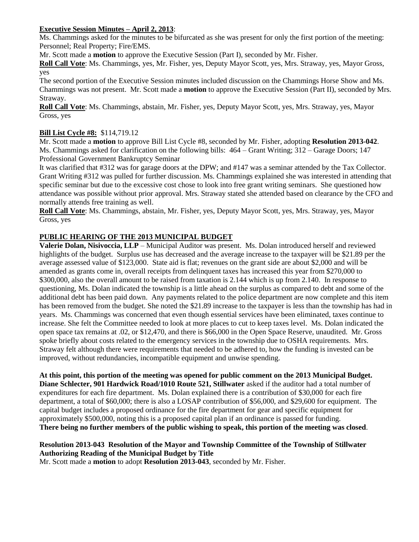## **Executive Session Minutes – April 2, 2013**:

Ms. Chammings asked for the minutes to be bifurcated as she was present for only the first portion of the meeting: Personnel; Real Property; Fire/EMS.

Mr. Scott made a **motion** to approve the Executive Session (Part I), seconded by Mr. Fisher.

**Roll Call Vote**: Ms. Chammings, yes, Mr. Fisher, yes, Deputy Mayor Scott, yes, Mrs. Straway, yes, Mayor Gross, yes

The second portion of the Executive Session minutes included discussion on the Chammings Horse Show and Ms. Chammings was not present. Mr. Scott made a **motion** to approve the Executive Session (Part II), seconded by Mrs. Straway.

**Roll Call Vote**: Ms. Chammings, abstain, Mr. Fisher, yes, Deputy Mayor Scott, yes, Mrs. Straway, yes, Mayor Gross, yes

## **Bill List Cycle #8:** \$114,719.12

Mr. Scott made a **motion** to approve Bill List Cycle #8, seconded by Mr. Fisher, adopting **Resolution 2013-042**. Ms. Chammings asked for clarification on the following bills: 464 – Grant Writing; 312 – Garage Doors; 147 Professional Government Bankruptcy Seminar

It was clarified that #312 was for garage doors at the DPW; and #147 was a seminar attended by the Tax Collector. Grant Writing #312 was pulled for further discussion. Ms. Chammings explained she was interested in attending that specific seminar but due to the excessive cost chose to look into free grant writing seminars. She questioned how attendance was possible without prior approval. Mrs. Straway stated she attended based on clearance by the CFO and normally attends free training as well.

**Roll Call Vote**: Ms. Chammings, abstain, Mr. Fisher, yes, Deputy Mayor Scott, yes, Mrs. Straway, yes, Mayor Gross, yes

## **PUBLIC HEARING OF THE 2013 MUNICIPAL BUDGET**

**Valerie Dolan, Nisivoccia, LLP** – Municipal Auditor was present. Ms. Dolan introduced herself and reviewed highlights of the budget. Surplus use has decreased and the average increase to the taxpayer will be \$21.89 per the average assessed value of \$123,000. State aid is flat; revenues on the grant side are about \$2,000 and will be amended as grants come in, overall receipts from delinquent taxes has increased this year from \$270,000 to \$300,000, also the overall amount to be raised from taxation is 2.144 which is up from 2.140. In response to questioning, Ms. Dolan indicated the township is a little ahead on the surplus as compared to debt and some of the additional debt has been paid down. Any payments related to the police department are now complete and this item has been removed from the budget. She noted the \$21.89 increase to the taxpayer is less than the township has had in years. Ms. Chammings was concerned that even though essential services have been eliminated, taxes continue to increase. She felt the Committee needed to look at more places to cut to keep taxes level. Ms. Dolan indicated the open space tax remains at .02, or \$12,470, and there is \$66,000 in the Open Space Reserve, unaudited. Mr. Gross spoke briefly about costs related to the emergency services in the township due to OSHA requirements. Mrs. Straway felt although there were requirements that needed to be adhered to, how the funding is invested can be improved, without redundancies, incompatible equipment and unwise spending.

**At this point, this portion of the meeting was opened for public comment on the 2013 Municipal Budget. Diane Schlecter, 901 Hardwick Road/1010 Route 521, Stillwater** asked if the auditor had a total number of expenditures for each fire department. Ms. Dolan explained there is a contribution of \$30,000 for each fire department, a total of \$60,000; there is also a LOSAP contribution of \$56,000, and \$29,600 for equipment. The capital budget includes a proposed ordinance for the fire department for gear and specific equipment for approximately \$500,000, noting this is a proposed capital plan if an ordinance is passed for funding. **There being no further members of the public wishing to speak, this portion of the meeting was closed**.

## **Resolution 2013-043 Resolution of the Mayor and Township Committee of the Township of Stillwater Authorizing Reading of the Municipal Budget by Title**

Mr. Scott made a **motion** to adopt **Resolution 2013-043**, seconded by Mr. Fisher.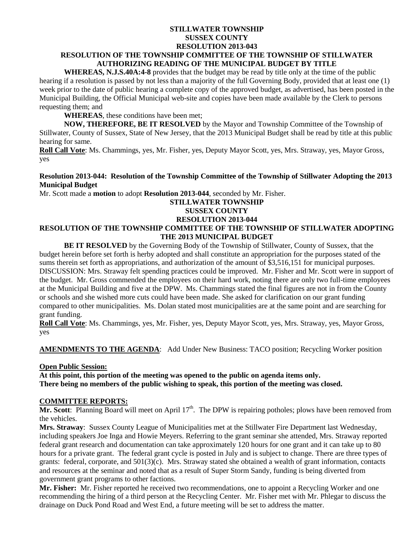## **STILLWATER TOWNSHIP SUSSEX COUNTY RESOLUTION 2013-043 RESOLUTION OF THE TOWNSHIP COMMITTEE OF THE TOWNSHIP OF STILLWATER AUTHORIZING READING OF THE MUNICIPAL BUDGET BY TITLE**

**WHEREAS, N.J.S.40A:4-8** provides that the budget may be read by title only at the time of the public hearing if a resolution is passed by not less than a majority of the full Governing Body, provided that at least one (1) week prior to the date of public hearing a complete copy of the approved budget, as advertised, has been posted in the Municipal Building, the Official Municipal web-site and copies have been made available by the Clerk to persons requesting them; and

**WHEREAS**, these conditions have been met;

**NOW, THEREFORE, BE IT RESOLVED** by the Mayor and Township Committee of the Township of Stillwater, County of Sussex, State of New Jersey, that the 2013 Municipal Budget shall be read by title at this public hearing for same.

**Roll Call Vote**: Ms. Chammings, yes, Mr. Fisher, yes, Deputy Mayor Scott, yes, Mrs. Straway, yes, Mayor Gross, yes

## **Resolution 2013-044: Resolution of the Township Committee of the Township of Stillwater Adopting the 2013 Municipal Budget**

Mr. Scott made a **motion** to adopt **Resolution 2013-044**, seconded by Mr. Fisher.

## **STILLWATER TOWNSHIP**

## **SUSSEX COUNTY**

## **RESOLUTION 2013-044**

## **RESOLUTION OF THE TOWNSHIP COMMITTEE OF THE TOWNSHIP OF STILLWATER ADOPTING THE 2013 MUNICIPAL BUDGET**

**BE IT RESOLVED** by the Governing Body of the Township of Stillwater, County of Sussex, that the budget herein before set forth is herby adopted and shall constitute an appropriation for the purposes stated of the sums therein set forth as appropriations, and authorization of the amount of \$3,516,151 for municipal purposes. DISCUSSION: Mrs. Straway felt spending practices could be improved. Mr. Fisher and Mr. Scott were in support of the budget. Mr. Gross commended the employees on their hard work, noting there are only two full-time employees at the Municipal Building and five at the DPW. Ms. Chammings stated the final figures are not in from the County or schools and she wished more cuts could have been made. She asked for clarification on our grant funding compared to other municipalities. Ms. Dolan stated most municipalities are at the same point and are searching for grant funding.

**Roll Call Vote**: Ms. Chammings, yes, Mr. Fisher, yes, Deputy Mayor Scott, yes, Mrs. Straway, yes, Mayor Gross, yes

**AMENDMENTS TO THE AGENDA**: Add Under New Business: TACO position; Recycling Worker position

## **Open Public Session:**

**At this point, this portion of the meeting was opened to the public on agenda items only. There being no members of the public wishing to speak, this portion of the meeting was closed.**

## **COMMITTEE REPORTS:**

**Mr. Scott**: Planning Board will meet on April  $17<sup>th</sup>$ . The DPW is repairing potholes; plows have been removed from the vehicles.

**Mrs. Straway**: Sussex County League of Municipalities met at the Stillwater Fire Department last Wednesday, including speakers Joe Inga and Howie Meyers. Referring to the grant seminar she attended, Mrs. Straway reported federal grant research and documentation can take approximately 120 hours for one grant and it can take up to 80 hours for a private grant. The federal grant cycle is posted in July and is subject to change. There are three types of grants: federal, corporate, and  $501(3)(c)$ . Mrs. Straway stated she obtained a wealth of grant information, contacts and resources at the seminar and noted that as a result of Super Storm Sandy, funding is being diverted from government grant programs to other factions.

**Mr. Fisher:** Mr. Fisher reported he received two recommendations, one to appoint a Recycling Worker and one recommending the hiring of a third person at the Recycling Center. Mr. Fisher met with Mr. Phlegar to discuss the drainage on Duck Pond Road and West End, a future meeting will be set to address the matter.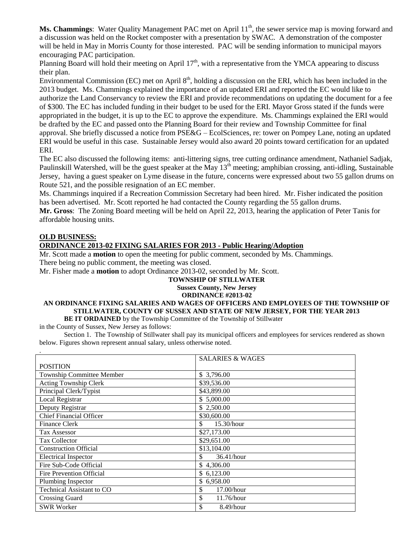**Ms. Chammings:** Water Quality Management PAC met on April 11<sup>th</sup>, the sewer service map is moving forward and a discussion was held on the Rocket composter with a presentation by SWAC. A demonstration of the composter will be held in May in Morris County for those interested. PAC will be sending information to municipal mayors encouraging PAC participation.

Planning Board will hold their meeting on April  $17<sup>th</sup>$ , with a representative from the YMCA appearing to discuss their plan.

Environmental Commission (EC) met on April  $8<sup>th</sup>$ , holding a discussion on the ERI, which has been included in the 2013 budget. Ms. Chammings explained the importance of an updated ERI and reported the EC would like to authorize the Land Conservancy to review the ERI and provide recommendations on updating the document for a fee of \$300. The EC has included funding in their budget to be used for the ERI. Mayor Gross stated if the funds were appropriated in the budget, it is up to the EC to approve the expenditure. Ms. Chammings explained the ERI would be drafted by the EC and passed onto the Planning Board for their review and Township Committee for final approval. She briefly discussed a notice from PSE&G – EcolSciences, re: tower on Pompey Lane, noting an updated ERI would be useful in this case. Sustainable Jersey would also award 20 points toward certification for an updated ERI.

The EC also discussed the following items: anti-littering signs, tree cutting ordinance amendment, Nathaniel Sadjak, Paulinskill Watershed, will be the guest speaker at the May 13<sup>th</sup> meeting; amphibian crossing, anti-idling, Sustainable Jersey, having a guest speaker on Lyme disease in the future, concerns were expressed about two 55 gallon drums on Route 521, and the possible resignation of an EC member.

Ms. Chammings inquired if a Recreation Commission Secretary had been hired. Mr. Fisher indicated the position has been advertised. Mr. Scott reported he had contacted the County regarding the 55 gallon drums.

**Mr. Gross**: The Zoning Board meeting will be held on April 22, 2013, hearing the application of Peter Tanis for affordable housing units.

## **OLD BUSINESS:**

## **ORDINANCE 2013-02 FIXING SALARIES FOR 2013 - Public Hearing/Adoption**

Mr. Scott made a **motion** to open the meeting for public comment, seconded by Ms. Chammings. There being no public comment, the meeting was closed.

Mr. Fisher made a **motion** to adopt Ordinance 2013-02, seconded by Mr. Scott.

#### **TOWNSHIP OF STILLWATER Sussex County, New Jersey**

## **ORDINANCE #2013-02**

## **AN ORDINANCE FIXING SALARIES AND WAGES OF OFFICERS AND EMPLOYEES OF THE TOWNSHIP OF STILLWATER, COUNTY OF SUSSEX AND STATE OF NEW JERSEY, FOR THE YEAR 2013**

**BE IT ORDAINED** by the Township Committee of the Township of Stillwater

in the County of Sussex, New Jersey as follows:

Section 1. The Township of Stillwater shall pay its municipal officers and employees for services rendered as shown below. Figures shown represent annual salary, unless otherwise noted.

|                                  | <b>SALARIES &amp; WAGES</b> |
|----------------------------------|-----------------------------|
| <b>POSITION</b>                  |                             |
| <b>Township Committee Member</b> | \$3,796.00                  |
| Acting Township Clerk            | \$39,536.00                 |
| Principal Clerk/Typist           | \$43,899.00                 |
| Local Registrar                  | \$5,000.00                  |
| Deputy Registrar                 | \$2,500.00                  |
| <b>Chief Financial Officer</b>   | \$30,600.00                 |
| <b>Finance Clerk</b>             | \$<br>15.30/hour            |
| <b>Tax Assessor</b>              | \$27,173.00                 |
| <b>Tax Collector</b>             | \$29,651.00                 |
| <b>Construction Official</b>     | \$13,104.00                 |
| <b>Electrical Inspector</b>      | \$<br>36.41/hour            |
| Fire Sub-Code Official           | \$4,306.00                  |
| <b>Fire Prevention Official</b>  | \$6,123.00                  |
| Plumbing Inspector               | \$6,958.00                  |
| <b>Technical Assistant to CO</b> | \$<br>$17.00/h$ our         |
| <b>Crossing Guard</b>            | \$<br>11.76/hour            |
| <b>SWR Worker</b>                | \$<br>8.49/hour             |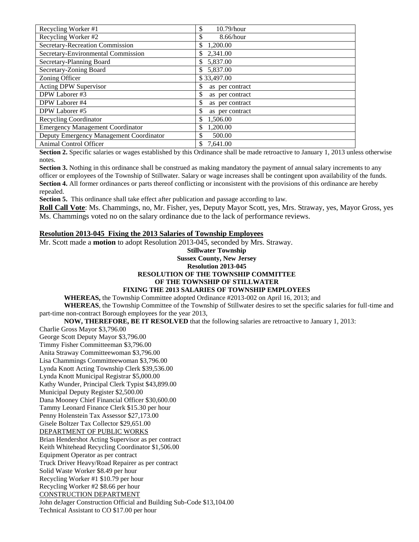| Recycling Worker #1                     | \$<br>$10.79/h$ our   |
|-----------------------------------------|-----------------------|
| Recycling Worker #2                     | \$<br>8.66/hour       |
| Secretary-Recreation Commission         | \$<br>1,200.00        |
| Secretary-Environmental Commission      | \$<br>2,341.00        |
| Secretary-Planning Board                | 5,837.00<br>\$        |
| Secretary-Zoning Board                  | 5,837.00<br>\$.       |
| Zoning Officer                          | \$33,497.00           |
| Acting DPW Supervisor                   | \$<br>as per contract |
| DPW Laborer #3                          | \$<br>as per contract |
| DPW Laborer #4                          | \$<br>as per contract |
| DPW Laborer #5                          | \$<br>as per contract |
| <b>Recycling Coordinator</b>            | \$<br>1,506.00        |
| <b>Emergency Management Coordinator</b> | 1,200.00<br>\$        |
| Deputy Emergency Management Coordinator | \$<br>500.00          |
| Animal Control Officer                  | 7.641.00<br>\$        |

**Section 2.** Specific salaries or wages established by this Ordinance shall be made retroactive to January 1, 2013 unless otherwise notes.

**Section 3.** Nothing in this ordinance shall be construed as making mandatory the payment of annual salary increments to any officer or employees of the Township of Stillwater. Salary or wage increases shall be contingent upon availability of the funds. **Section 4.** All former ordinances or parts thereof conflicting or inconsistent with the provisions of this ordinance are hereby repealed.

**Section 5.** This ordinance shall take effect after publication and passage according to law.

**Roll Call Vote**: Ms. Chammings, no, Mr. Fisher, yes, Deputy Mayor Scott, yes, Mrs. Straway, yes, Mayor Gross, yes Ms. Chammings voted no on the salary ordinance due to the lack of performance reviews.

## **Resolution 2013-045 Fixing the 2013 Salaries of Township Employees**

Mr. Scott made a **motion** to adopt Resolution 2013-045, seconded by Mrs. Straway.

#### **Stillwater Township Sussex County, New Jersey Resolution 2013-045 RESOLUTION OF THE TOWNSHIP COMMITTEE OF THE TOWNSHIP OF STILLWATER FIXING THE 2013 SALARIES OF TOWNSHIP EMPLOYEES**

**WHEREAS,** the Township Committee adopted Ordinance #2013-002 on April 16, 2013; and

**WHEREAS**, the Township Committee of the Township of Stillwater desires to set the specific salaries for full-time and part-time non-contract Borough employees for the year 2013,

**NOW, THEREFORE, BE IT RESOLVED** that the following salaries are retroactive to January 1, 2013:

Charlie Gross Mayor \$3,796.00 George Scott Deputy Mayor \$3,796.00 Timmy Fisher Committeeman \$3,796.00 Anita Straway Committeewoman \$3,796.00 Lisa Chammings Committeewoman \$3,796.00 Lynda Knott Acting Township Clerk \$39,536.00 Lynda Knott Municipal Registrar \$5,000.00 Kathy Wunder, Principal Clerk Typist \$43,899.00 Municipal Deputy Register \$2,500.00 Dana Mooney Chief Financial Officer \$30,600.00 Tammy Leonard Finance Clerk \$15.30 per hour Penny Holenstein Tax Assessor \$27,173.00 Gisele Boltzer Tax Collector \$29,651.00 DEPARTMENT OF PUBLIC WORKS Brian Hendershot Acting Supervisor as per contract Keith Whitehead Recycling Coordinator \$1,506.00 Equipment Operator as per contract Truck Driver Heavy/Road Repairer as per contract Solid Waste Worker \$8.49 per hour Recycling Worker #1 \$10.79 per hour Recycling Worker #2 \$8.66 per hour CONSTRUCTION DEPARTMENT John deJager Construction Official and Building Sub-Code \$13,104.00 Technical Assistant to CO \$17.00 per hour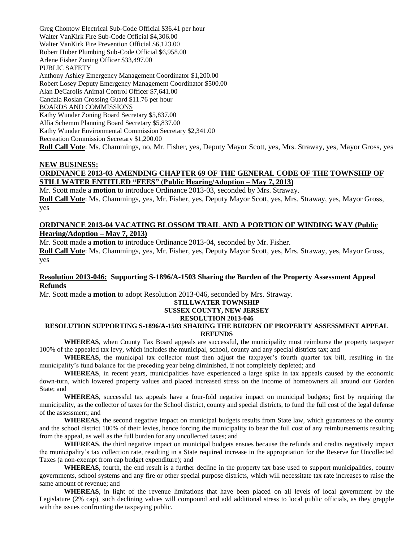Greg Chontow Electrical Sub-Code Official \$36.41 per hour Walter VanKirk Fire Sub-Code Official \$4,306.00 Walter VanKirk Fire Prevention Official \$6,123.00 Robert Huber Plumbing Sub-Code Official \$6,958.00 Arlene Fisher Zoning Officer \$33,497.00 PUBLIC SAFETY Anthony Ashley Emergency Management Coordinator \$1,200.00 Robert Losey Deputy Emergency Management Coordinator \$500.00 Alan DeCarolis Animal Control Officer \$7,641.00 Candala Roslan Crossing Guard \$11.76 per hour BOARDS AND COMMISSIONS Kathy Wunder Zoning Board Secretary \$5,837.00 Alfia Schemm Planning Board Secretary \$5,837.00 Kathy Wunder Environmental Commission Secretary \$2,341.00 Recreation Commission Secretary \$1,200.00 **Roll Call Vote**: Ms. Chammings, no, Mr. Fisher, yes, Deputy Mayor Scott, yes, Mrs. Straway, yes, Mayor Gross, yes

### **NEW BUSINESS: ORDINANCE 2013-03 AMENDING CHAPTER 69 OF THE GENERAL CODE OF THE TOWNSHIP OF**

# **STILLWATER ENTITLED "FEES" (Public Hearing/Adoption – May 7, 2013)**

Mr. Scott made a **motion** to introduce Ordinance 2013-03, seconded by Mrs. Straway. **Roll Call Vote**: Ms. Chammings, yes, Mr. Fisher, yes, Deputy Mayor Scott, yes, Mrs. Straway, yes, Mayor Gross, yes

## **ORDINANCE 2013-04 VACATING BLOSSOM TRAIL AND A PORTION OF WINDING WAY (Public Hearing/Adoption – May 7, 2013)**

Mr. Scott made a **motion** to introduce Ordinance 2013-04, seconded by Mr. Fisher.

**Roll Call Vote**: Ms. Chammings, yes, Mr. Fisher, yes, Deputy Mayor Scott, yes, Mrs. Straway, yes, Mayor Gross, yes

## **Resolution 2013-046: Supporting S-1896/A-1503 Sharing the Burden of the Property Assessment Appeal Refunds**

Mr. Scott made a **motion** to adopt Resolution 2013-046, seconded by Mrs. Straway.

## **STILLWATER TOWNSHIP**

## **SUSSEX COUNTY, NEW JERSEY**

### **RESOLUTION 2013-046**

#### **RESOLUTION SUPPORTING S-1896/A-1503 SHARING THE BURDEN OF PROPERTY ASSESSMENT APPEAL REFUNDS**

**WHEREAS**, when County Tax Board appeals are successful, the municipality must reimburse the property taxpayer 100% of the appealed tax levy, which includes the municipal, school, county and any special districts tax; and

**WHEREAS**, the municipal tax collector must then adjust the taxpayer's fourth quarter tax bill, resulting in the municipality's fund balance for the preceding year being diminished, if not completely depleted; and

**WHEREAS**, in recent years, municipalities have experienced a large spike in tax appeals caused by the economic down-turn, which lowered property values and placed increased stress on the income of homeowners all around our Garden State; and

**WHEREAS**, successful tax appeals have a four-fold negative impact on municipal budgets; first by requiring the municipality, as the collector of taxes for the School district, county and special districts, to fund the full cost of the legal defense of the assessment; and

**WHEREAS**, the second negative impact on municipal budgets results from State law, which guarantees to the county and the school district 100% of their levies, hence forcing the municipality to bear the full cost of any reimbursements resulting from the appeal, as well as the full burden for any uncollected taxes; and

**WHEREAS**, the third negative impact on municipal budgets ensues because the refunds and credits negatively impact the municipality's tax collection rate, resulting in a State required increase in the appropriation for the Reserve for Uncollected Taxes (a non-exempt from cap budget expenditure); and

**WHEREAS**, fourth, the end result is a further decline in the property tax base used to support municipalities, county governments, school systems and any fire or other special purpose districts, which will necessitate tax rate increases to raise the same amount of revenue; and

**WHEREAS**, in light of the revenue limitations that have been placed on all levels of local government by the Legislature (2% cap), such declining values will compound and add additional stress to local public officials, as they grapple with the issues confronting the taxpaying public.